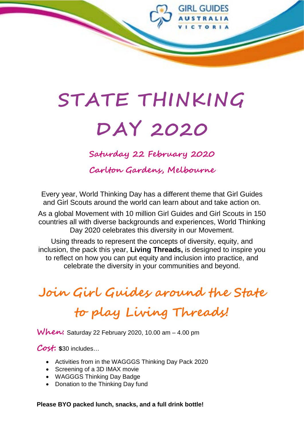

# **STATE THINKING DAY 2020**

**Saturday 22 February 2020**

**Carlton Gardens, Melbourne**

Every year, World Thinking Day has a different theme that Girl Guides and Girl Scouts around the world can learn about and take action on.

As a global Movement with 10 million Girl Guides and Girl Scouts in 150 countries all with diverse backgrounds and experiences, World Thinking Day 2020 celebrates this diversity in our Movement.

Using threads to represent the concepts of diversity, equity, and inclusion, the pack this year, **Living Threads,** is designed to inspire you to reflect on how you can put equity and inclusion into practice, and celebrate the diversity in your communities and beyond.

# **Join Girl Guides around the State**

# **to play Living Threads!**

**When:** Saturday 22 February 2020, 10.00 am – 4.00 pm

**Cost: \$**30 includes…

- Activities from in the WAGGGS Thinking Day Pack 2020
- Screening of a 3D IMAX movie
- WAGGGS Thinking Day Badge
- Donation to the Thinking Day fund

**Please BYO packed lunch, snacks, and a full drink bottle!**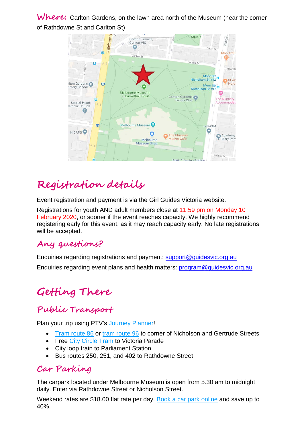Where: Carlton Gardens, on the lawn area north of the Museum (near the corner of Rathdowne St and Carlton St)



## **Registration details**

Event registration and payment is via the Girl Guides Victoria website.

Registrations for youth AND adult members close at 11:59 pm on Monday 10 February 2020, or sooner if the event reaches capacity. We highly recommend registering early for this event, as it may reach capacity early. No late registrations will be accepted.

#### **Any questions?**

Enquiries regarding registrations and payment: [support@guidesvic.org.au](mailto:support@guidesvic.org.au) Enquiries regarding event plans and health matters: [program@guidesvic.org.au](mailto:program@guidesvic.org.au)

# **Getting There**

#### **Public Transport**

Plan your trip using PTV's [Journey Planner!](http://ptv.vic.gov.au/)

- [Tram route 86](http://www.yarratrams.com.au/using-trams/route-guides/route-86/) or [tram route 96](http://www.yarratrams.com.au/using-trams/route-guides/route-96/) to corner of Nicholson and Gertrude Streets
- Free [City Circle Tram](http://www.yarratrams.com.au/using-trams/visitors-new-users/city-circle-tram/) to Victoria Parade
- City loop train to Parliament Station
- Bus routes 250, 251, and 402 to Rathdowne Street

#### **Car Parking**

The carpark located under Melbourne Museum is open from 5.30 am to midnight daily. Enter via Rathdowne Street or Nicholson Street.

Weekend rates are \$18.00 flat rate per day. [Book a car park online](https://carpark.museumvictoria.com.au/) and save up to 40%.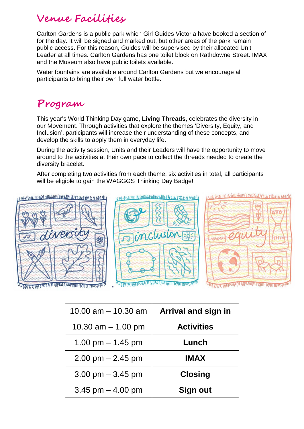#### **Venue Facilities**

Carlton Gardens is a public park which Girl Guides Victoria have booked a section of for the day. It will be signed and marked out, but other areas of the park remain public access. For this reason, Guides will be supervised by their allocated Unit Leader at all times. Carlton Gardens has one toilet block on Rathdowne Street. IMAX and the Museum also have public toilets available.

Water fountains are available around Carlton Gardens but we encourage all participants to bring their own full water bottle.

#### **Program**

This year's World Thinking Day game, **Living Threads**, celebrates the diversity in our Movement. Through activities that explore the themes 'Diversity, Equity, and Inclusion', participants will increase their understanding of these concepts, and develop the skills to apply them in everyday life.

During the activity session, Units and their Leaders will have the opportunity to move around to the activities at their own pace to collect the threads needed to create the diversity bracelet.

After completing two activities from each theme, six activities in total, all participants will be eligible to gain the WAGGGS Thinking Day Badge!



| Arrival and sign in | 10.00 am $-$ 10.30 am               |
|---------------------|-------------------------------------|
| <b>Activities</b>   | 10.30 $am - 1.00$ pm                |
| Lunch               | 1.00 pm $-$ 1.45 pm                 |
| <b>IMAX</b>         | $2.00$ pm $- 2.45$ pm               |
| <b>Closing</b>      | $3.00 \text{ pm} - 3.45 \text{ pm}$ |
| Sign out            | 3.45 pm $-$ 4.00 pm                 |